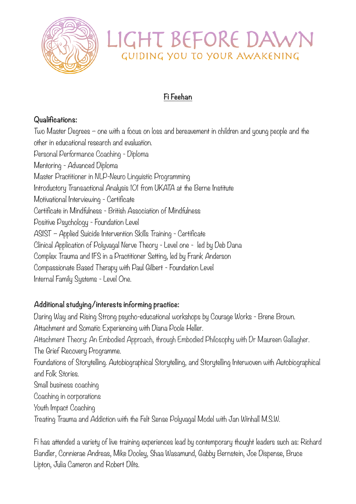

# LIGHT BEFORE DAW GUIDING YOU TO YOUR AWAKENING

## **Fi Feehan**

### **Qualifications:**

Two Master Degrees – one with a focus on loss and bereavement in children and young people and the other in educational research and evaluation. Personal Performance Coaching - Diploma Mentoring - Advanced Diploma Master Practitioner in NLP-Neuro Linguistic Programming Introductory Transactional Analysis 101 from UKATA at the Berne Institute Motivational Interviewing - Certificate Certificate in Mindfulness - British Association of Mindfulness Positive Psychology - Foundation Level ASIST – Applied Suicide Intervention Skills Training - Certificate Clinical Application of Polyvagal Nerve Theory - Level one - led by Deb Dana Complex Trauma and IFS in a Practitioner Setting, led by Frank Anderson Compassionate Based Therapy with Paul Gilbert - Foundation Level Internal Family Systems - Level One.

### **Additional studying/interests informing practice:**

Daring Way and Rising Strong psycho-educational workshops by Courage Works - Brene Brown. Attachment and Somatic Experiencing with Diana Poole Heller. Attachment Theory: An Embodied Approach, through Embodied Philosophy with Dr Maureen Gallagher. The Grief Recovery Programme. Foundations of Storytelling. Autobiographical Storytelling, and Storytelling Interwoven with Autobiographical and Folk Stories. Small business coaching Coaching in corporations Youth Impact Coaching Treating Trauma and Addiction with the Felt Sense Polyvagal Model with Jan Winhall M.S.W.

Fi has attended a variety of live training experiences lead by contemporary thought leaders such as: Richard Bandler, Connierae Andreas, Mike Dooley, Shaa Wasamund, Gabby Bernstein, Joe Dispense, Bruce Lipton, Julia Cameron and Robert Dilts.